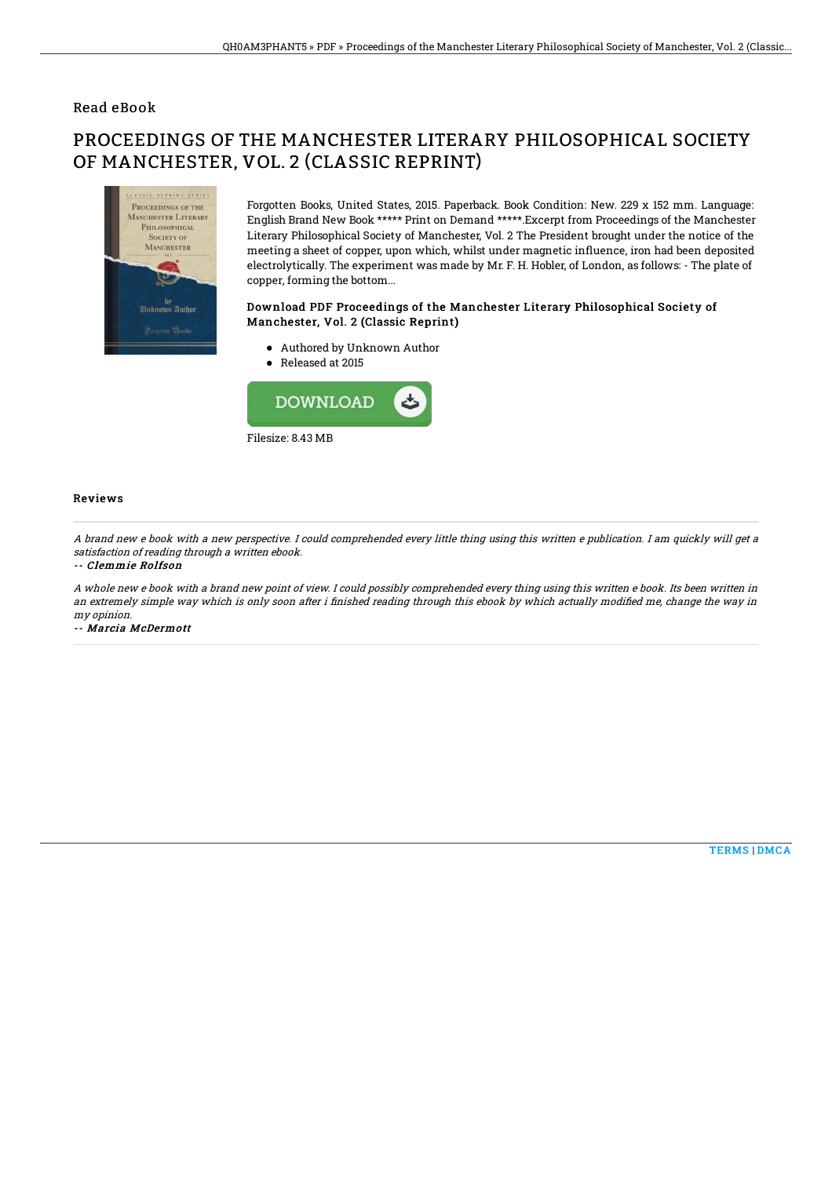### Read eBook

# PROCEEDINGS OF THE MANCHESTER LITERARY PHILOSOPHICAL SOCIETY OF MANCHESTER, VOL. 2 (CLASSIC REPRINT)



Forgotten Books, United States, 2015. Paperback. Book Condition: New. 229 x 152 mm. Language: English Brand New Book \*\*\*\*\* Print on Demand \*\*\*\*\*.Excerpt from Proceedings of the Manchester Literary Philosophical Society of Manchester, Vol. 2 The President brought under the notice of the meeting a sheet of copper, upon which, whilst under magnetic influence, iron had been deposited electrolytically. The experiment was made by Mr. F. H. Hobler, of London, as follows: - The plate of copper, forming the bottom...

#### Download PDF Proceedings of the Manchester Literary Philosophical Society of Manchester, Vol. 2 (Classic Reprint)

- Authored by Unknown Author
- Released at 2015



#### Reviews

A brand new <sup>e</sup> book with <sup>a</sup> new perspective. I could comprehended every little thing using this written <sup>e</sup> publication. I am quickly will get <sup>a</sup> satisfaction of reading through <sup>a</sup> written ebook.

#### -- Clemmie Rolfson

A whole new <sup>e</sup> book with <sup>a</sup> brand new point of view. I could possibly comprehended every thing using this written <sup>e</sup> book. Its been written in an extremely simple way which is only soon after i finished reading through this ebook by which actually modified me, change the way in my opinion.

-- Marcia McDermott